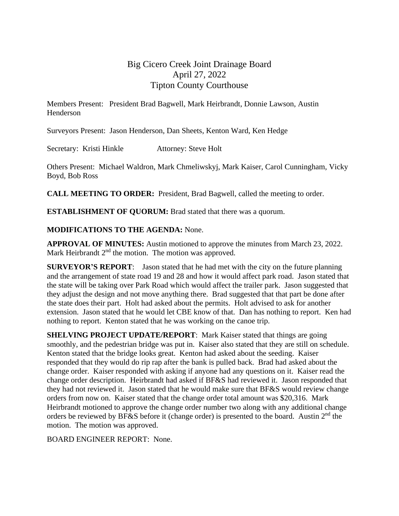# Big Cicero Creek Joint Drainage Board April 27, 2022 Tipton County Courthouse

Members Present: President Brad Bagwell, Mark Heirbrandt, Donnie Lawson, Austin Henderson

Surveyors Present: Jason Henderson, Dan Sheets, Kenton Ward, Ken Hedge

Secretary: Kristi Hinkle Attorney: Steve Holt

Others Present: Michael Waldron, Mark Chmeliwskyj, Mark Kaiser, Carol Cunningham, Vicky Boyd, Bob Ross

**CALL MEETING TO ORDER:** President, Brad Bagwell, called the meeting to order.

**ESTABLISHMENT OF QUORUM:** Brad stated that there was a quorum.

### **MODIFICATIONS TO THE AGENDA:** None.

**APPROVAL OF MINUTES:** Austin motioned to approve the minutes from March 23, 2022. Mark Heirbrandt 2<sup>nd</sup> the motion. The motion was approved.

**SURVEYOR'S REPORT**: Jason stated that he had met with the city on the future planning and the arrangement of state road 19 and 28 and how it would affect park road. Jason stated that the state will be taking over Park Road which would affect the trailer park. Jason suggested that they adjust the design and not move anything there. Brad suggested that that part be done after the state does their part. Holt had asked about the permits. Holt advised to ask for another extension. Jason stated that he would let CBE know of that. Dan has nothing to report. Ken had nothing to report. Kenton stated that he was working on the canoe trip.

**SHELVING PROJECT UPDATE/REPORT:** Mark Kaiser stated that things are going smoothly, and the pedestrian bridge was put in. Kaiser also stated that they are still on schedule. Kenton stated that the bridge looks great. Kenton had asked about the seeding. Kaiser responded that they would do rip rap after the bank is pulled back. Brad had asked about the change order. Kaiser responded with asking if anyone had any questions on it. Kaiser read the change order description. Heirbrandt had asked if BF&S had reviewed it. Jason responded that they had not reviewed it. Jason stated that he would make sure that BF&S would review change orders from now on. Kaiser stated that the change order total amount was \$20,316. Mark Heirbrandt motioned to approve the change order number two along with any additional change orders be reviewed by BF&S before it (change order) is presented to the board. Austin  $2<sup>nd</sup>$  the motion. The motion was approved.

BOARD ENGINEER REPORT: None.